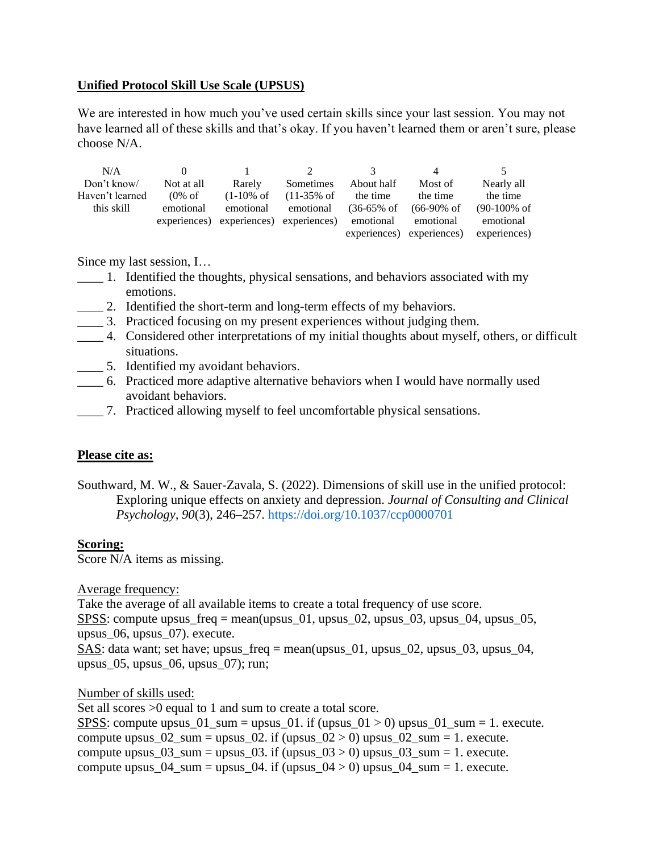## **Unified Protocol Skill Use Scale (UPSUS)**

We are interested in how much you've used certain skills since your last session. You may not have learned all of these skills and that's okay. If you haven't learned them or aren't sure, please choose N/A.

| N/A             |                    |                                        |                        |                        | 4                         | $\ddot{\phantom{1}}$    |
|-----------------|--------------------|----------------------------------------|------------------------|------------------------|---------------------------|-------------------------|
| Don't know/     | Not at all         | Rarely                                 | Sometimes              | About half             | Most of                   | Nearly all              |
| Haven't learned | $(0\% \text{ of }$ | $(1-10\% \text{ of }$                  | $(11-35\% \text{ of }$ | the time               | the time                  | the time                |
| this skill      | emotional          | emotional                              | emotional              | $(36-65\% \text{ of }$ | $(66-90\% \text{ of }$    | $(90-100\% \text{ of }$ |
|                 |                    | experiences) experiences) experiences) |                        | emotional              | emotional                 | emotional               |
|                 |                    |                                        |                        |                        | experiences) experiences) | experiences)            |

Since my last session, I…

- \_\_\_\_ 1. Identified the thoughts, physical sensations, and behaviors associated with my emotions.
- 2. Identified the short-term and long-term effects of my behaviors.
- \_\_\_\_ 3. Practiced focusing on my present experiences without judging them.
- \_\_\_\_ 4. Considered other interpretations of my initial thoughts about myself, others, or difficult situations.
- \_\_\_\_ 5. Identified my avoidant behaviors.
- \_\_\_\_ 6. Practiced more adaptive alternative behaviors when I would have normally used avoidant behaviors.
- \_\_\_\_ 7. Practiced allowing myself to feel uncomfortable physical sensations.

## **Please cite as:**

Southward, M. W., & Sauer-Zavala, S. (2022). Dimensions of skill use in the unified protocol: Exploring unique effects on anxiety and depression. *Journal of Consulting and Clinical Psychology, 90*(3), 246–257. [https://doi.org/10.1037/ccp0000701](https://psycnet.apa.org/doi/10.1037/ccp0000701)

## **Scoring:**

Score N/A items as missing.

Average frequency:

Take the average of all available items to create a total frequency of use score. SPSS: compute upsus\_freq = mean(upsus\_01, upsus\_02, upsus\_03, upsus\_04, upsus\_05, upsus\_06, upsus\_07). execute. SAS: data want; set have; upsus\_freq = mean(upsus\_01, upsus\_02, upsus\_03, upsus\_04,

upsus\_05, upsus\_06, upsus\_07); run;

Number of skills used:

Set all scores >0 equal to 1 and sum to create a total score. SPSS: compute upsus\_01\_sum = upsus\_01. if (upsus\_01 > 0) upsus\_01\_sum = 1. execute. compute upsus\_02\_sum = upsus\_02. if (upsus\_02 > 0) upsus\_02\_sum = 1. execute. compute upsus  $03\text{ sum} = \text{upsus }03.$  if (upsus  $03 > 0$ ) upsus  $03\text{ sum} = 1.$  execute. compute upsus  $04$  sum = upsus  $04$ . if (upsus  $04 > 0$ ) upsus  $04$  sum = 1. execute.